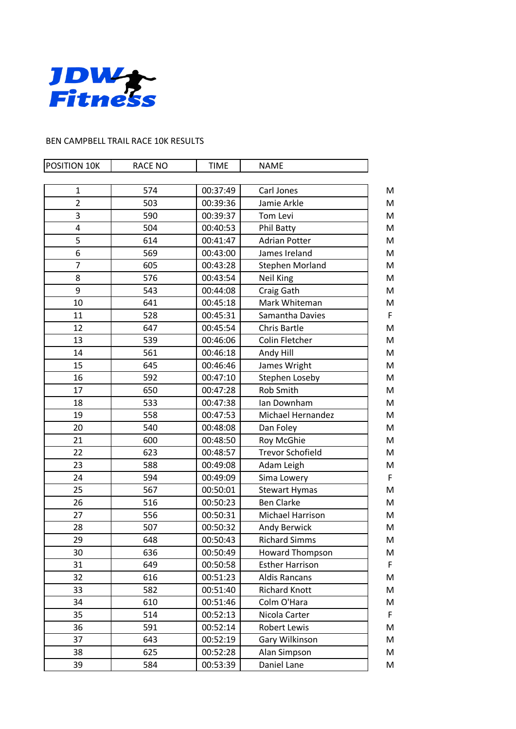

## BEN CAMPBELL TRAIL RACE 10K RESULTS

| POSITION 10K   | <b>RACE NO</b> | <b>TIME</b> | <b>NAME</b>              |   |
|----------------|----------------|-------------|--------------------------|---|
|                |                |             |                          |   |
| $\mathbf{1}$   | 574            | 00:37:49    | Carl Jones               | M |
| $\overline{2}$ | 503            | 00:39:36    | Jamie Arkle              | M |
| 3              | 590            | 00:39:37    | Tom Levi                 | M |
| 4              | 504            | 00:40:53    | Phil Batty               | M |
| 5              | 614            | 00:41:47    | <b>Adrian Potter</b>     | M |
| 6              | 569            | 00:43:00    | James Ireland            | M |
| $\overline{7}$ | 605            | 00:43:28    | <b>Stephen Morland</b>   | M |
| 8              | 576            | 00:43:54    | Neil King                | M |
| 9              | 543            | 00:44:08    | Craig Gath               | M |
| 10             | 641            | 00:45:18    | Mark Whiteman            | M |
| 11             | 528            | 00:45:31    | Samantha Davies          | F |
| 12             | 647            | 00:45:54    | <b>Chris Bartle</b>      | M |
| 13             | 539            | 00:46:06    | Colin Fletcher           | M |
| 14             | 561            | 00:46:18    | Andy Hill                | M |
| 15             | 645            | 00:46:46    | James Wright             | M |
| 16             | 592            | 00:47:10    | Stephen Loseby           | M |
| 17             | 650            | 00:47:28    | <b>Rob Smith</b>         | M |
| 18             | 533            | 00:47:38    | Ian Downham              | M |
| 19             | 558            | 00:47:53    | <b>Michael Hernandez</b> | M |
| 20             | 540            | 00:48:08    | Dan Foley                | M |
| 21             | 600            | 00:48:50    | Roy McGhie               | M |
| 22             | 623            | 00:48:57    | <b>Trevor Schofield</b>  | M |
| 23             | 588            | 00:49:08    | Adam Leigh               | M |
| 24             | 594            | 00:49:09    | Sima Lowery              | F |
| 25             | 567            | 00:50:01    | <b>Stewart Hymas</b>     | M |
| 26             | 516            | 00:50:23    | <b>Ben Clarke</b>        | M |
| 27             | 556            | 00:50:31    | Michael Harrison         | M |
| 28             | 507            | 00:50:32    | Andy Berwick             | M |
| 29             | 648            | 00:50:43    | <b>Richard Simms</b>     | M |
| 30             | 636            | 00:50:49    | <b>Howard Thompson</b>   | M |
| 31             | 649            | 00:50:58    | <b>Esther Harrison</b>   | F |
| 32             | 616            | 00:51:23    | <b>Aldis Rancans</b>     | M |
| 33             | 582            | 00:51:40    | <b>Richard Knott</b>     | M |
| 34             | 610            | 00:51:46    | Colm O'Hara              | M |
| 35             | 514            | 00:52:13    | Nicola Carter            | F |
| 36             | 591            | 00:52:14    | Robert Lewis             | M |
| 37             | 643            | 00:52:19    | Gary Wilkinson           | M |
| 38             | 625            | 00:52:28    | Alan Simpson             | M |
| 39             | 584            | 00:53:39    | Daniel Lane              | M |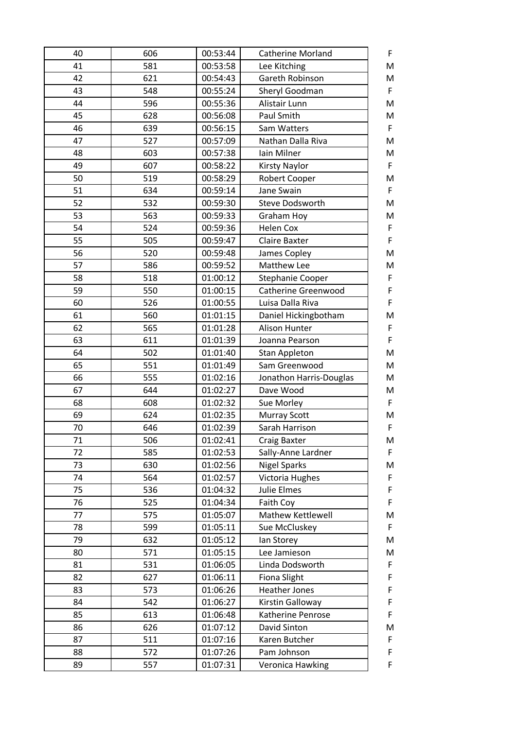| 40 | 606 | 00:53:44 | <b>Catherine Morland</b><br>F       |
|----|-----|----------|-------------------------------------|
| 41 | 581 | 00:53:58 | M<br>Lee Kitching                   |
| 42 | 621 | 00:54:43 | Gareth Robinson<br>M                |
| 43 | 548 | 00:55:24 | $\mathsf F$<br>Sheryl Goodman       |
| 44 | 596 | 00:55:36 | M<br>Alistair Lunn                  |
| 45 | 628 | 00:56:08 | M<br>Paul Smith                     |
| 46 | 639 | 00:56:15 | F<br>Sam Watters                    |
| 47 | 527 | 00:57:09 | M<br>Nathan Dalla Riva              |
| 48 | 603 | 00:57:38 | Iain Milner<br>M                    |
| 49 | 607 | 00:58:22 | $\mathsf F$<br><b>Kirsty Naylor</b> |
| 50 | 519 | 00:58:29 | M<br><b>Robert Cooper</b>           |
| 51 | 634 | 00:59:14 | F<br>Jane Swain                     |
| 52 | 532 | 00:59:30 | M<br>Steve Dodsworth                |
| 53 | 563 | 00:59:33 | M<br>Graham Hoy                     |
| 54 | 524 | 00:59:36 | $\mathsf F$<br><b>Helen Cox</b>     |
| 55 | 505 | 00:59:47 | F<br><b>Claire Baxter</b>           |
| 56 | 520 | 00:59:48 | M<br>James Copley                   |
| 57 | 586 | 00:59:52 | M<br>Matthew Lee                    |
| 58 | 518 | 01:00:12 | $\mathsf F$<br>Stephanie Cooper     |
| 59 | 550 | 01:00:15 | F<br><b>Catherine Greenwood</b>     |
| 60 | 526 | 01:00:55 | $\mathsf F$<br>Luisa Dalla Riva     |
| 61 | 560 | 01:01:15 | Daniel Hickingbotham<br>M           |
| 62 | 565 | 01:01:28 | F<br><b>Alison Hunter</b>           |
| 63 | 611 | 01:01:39 | F<br>Joanna Pearson                 |
| 64 | 502 | 01:01:40 | M<br><b>Stan Appleton</b>           |
| 65 | 551 | 01:01:49 | M<br>Sam Greenwood                  |
| 66 | 555 | 01:02:16 | M<br>Jonathon Harris-Douglas        |
| 67 | 644 | 01:02:27 | M<br>Dave Wood                      |
| 68 | 608 | 01:02:32 | F<br>Sue Morley                     |
| 69 | 624 | 01:02:35 | M<br><b>Murray Scott</b>            |
| 70 | 646 | 01:02:39 | F<br>Sarah Harrison                 |
| 71 | 506 | 01:02:41 | <b>Craig Baxter</b><br>M            |
| 72 | 585 | 01:02:53 | Sally-Anne Lardner<br>F             |
| 73 | 630 | 01:02:56 | <b>Nigel Sparks</b><br>M            |
| 74 | 564 | 01:02:57 | $\mathsf F$<br>Victoria Hughes      |
| 75 | 536 | 01:04:32 | <b>Julie Elmes</b><br>$\mathsf F$   |
| 76 | 525 | 01:04:34 | $\mathsf F$<br>Faith Coy            |
| 77 | 575 | 01:05:07 | Mathew Kettlewell<br>M              |
| 78 | 599 | 01:05:11 | $\mathsf F$<br>Sue McCluskey        |
| 79 | 632 | 01:05:12 | M<br>lan Storey                     |
| 80 | 571 | 01:05:15 | Lee Jamieson<br>M                   |
| 81 | 531 | 01:06:05 | Linda Dodsworth<br>F                |
| 82 | 627 | 01:06:11 | $\mathsf F$<br><b>Fiona Slight</b>  |
| 83 | 573 | 01:06:26 | F<br><b>Heather Jones</b>           |
| 84 | 542 | 01:06:27 | F<br>Kirstin Galloway               |
| 85 | 613 | 01:06:48 | $\mathsf F$<br>Katherine Penrose    |
| 86 | 626 | 01:07:12 | David Sinton<br>M                   |
| 87 | 511 | 01:07:16 | F<br>Karen Butcher                  |
| 88 | 572 | 01:07:26 | $\mathsf F$<br>Pam Johnson          |
| 89 | 557 | 01:07:31 | F<br>Veronica Hawking               |